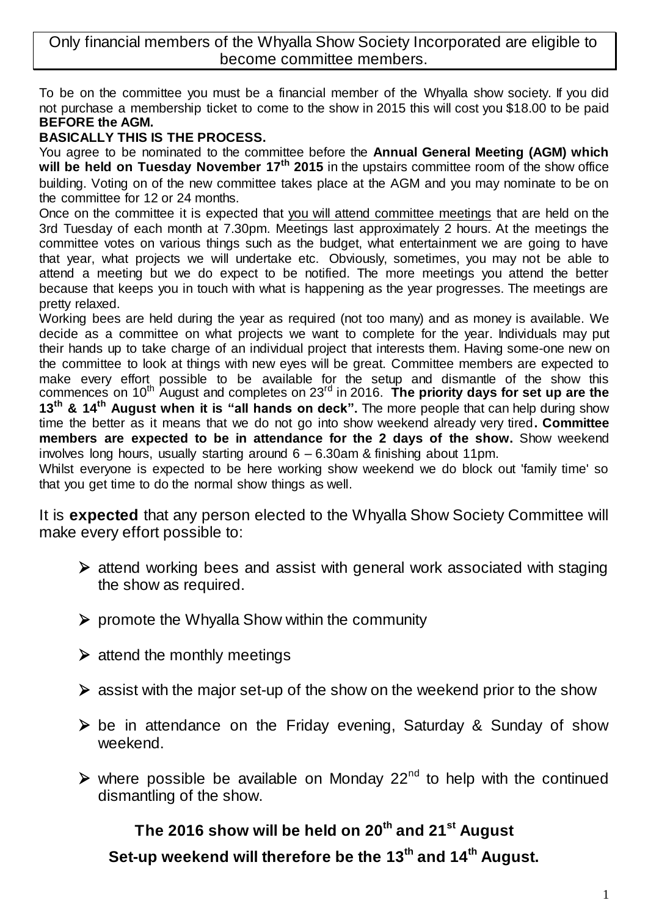Only financial members of the Whyalla Show Society Incorporated are eligible to become committee members.

To be on the committee you must be a financial member of the Whyalla show society. If you did not purchase a membership ticket to come to the show in 2015 this will cost you \$18.00 to be paid **BEFORE the AGM.**

# **BASICALLY THIS IS THE PROCESS.**

You agree to be nominated to the committee before the **Annual General Meeting (AGM) which will be held on Tuesday November 17th 2015** in the upstairs committee room of the show office building. Voting on of the new committee takes place at the AGM and you may nominate to be on the committee for 12 or 24 months.

Once on the committee it is expected that you will attend committee meetings that are held on the 3rd Tuesday of each month at 7.30pm. Meetings last approximately 2 hours. At the meetings the committee votes on various things such as the budget, what entertainment we are going to have that year, what projects we will undertake etc. Obviously, sometimes, you may not be able to attend a meeting but we do expect to be notified. The more meetings you attend the better because that keeps you in touch with what is happening as the year progresses. The meetings are pretty relaxed.

Working bees are held during the year as required (not too many) and as money is available. We decide as a committee on what projects we want to complete for the year. Individuals may put their hands up to take charge of an individual project that interests them. Having some-one new on the committee to look at things with new eyes will be great. Committee members are expected to make every effort possible to be available for the setup and dismantle of the show this commences on 10th August and completes on 23rd in 2016. **The priority days for set up are the 13th & 14th August when it is "all hands on deck".** The more people that can help during show time the better as it means that we do not go into show weekend already very tired**. Committee members are expected to be in attendance for the 2 days of the show.** Show weekend involves long hours, usually starting around 6 – 6.30am & finishing about 11pm.

Whilst everyone is expected to be here working show weekend we do block out 'family time' so that you get time to do the normal show things as well.

It is **expected** that any person elected to the Whyalla Show Society Committee will make every effort possible to:

- $\triangleright$  attend working bees and assist with general work associated with staging the show as required.
- $\triangleright$  promote the Whyalla Show within the community
- $\triangleright$  attend the monthly meetings
- $\triangleright$  assist with the major set-up of the show on the weekend prior to the show
- $\triangleright$  be in attendance on the Friday evening, Saturday & Sunday of show weekend.
- $\triangleright$  where possible be available on Monday 22<sup>nd</sup> to help with the continued dismantling of the show.

# **The 2016 show will be held on 20th and 21st August**

**Set-up weekend will therefore be the 13th and 14th August.**